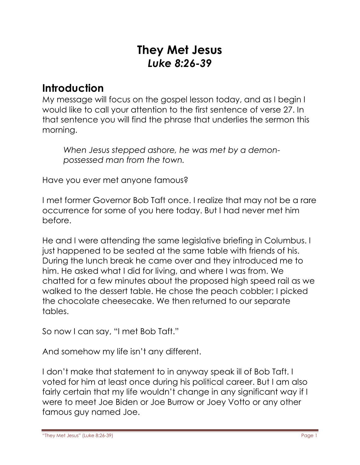# **They Met Jesus** *Luke 8:26-39*

# **Introduction**

My message will focus on the gospel lesson today, and as I begin I would like to call your attention to the first sentence of verse 27. In that sentence you will find the phrase that underlies the sermon this morning.

*When Jesus stepped ashore, he was met by a demonpossessed man from the town.*

Have you ever met anyone famous?

I met former Governor Bob Taft once. I realize that may not be a rare occurrence for some of you here today. But I had never met him before.

He and I were attending the same legislative briefing in Columbus. I just happened to be seated at the same table with friends of his. During the lunch break he came over and they introduced me to him. He asked what I did for living, and where I was from. We chatted for a few minutes about the proposed high speed rail as we walked to the dessert table. He chose the peach cobbler; I picked the chocolate cheesecake. We then returned to our separate tables.

So now I can say, "I met Bob Taft."

And somehow my life isn't any different.

I don't make that statement to in anyway speak ill of Bob Taft. I voted for him at least once during his political career. But I am also fairly certain that my life wouldn't change in any significant way if I were to meet Joe Biden or Joe Burrow or Joey Votto or any other famous guy named Joe.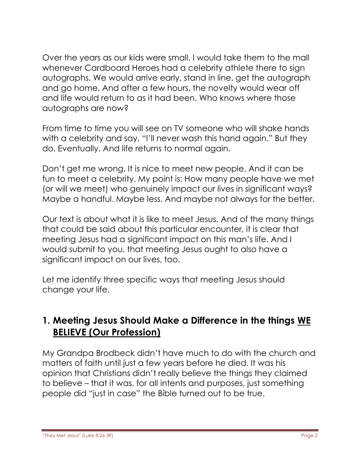Over the years as our kids were small, I would take them to the mall whenever Cardboard Heroes had a celebrity athlete there to sign autographs. We would arrive early, stand in line, get the autograph and go home. And after a few hours, the novelty would wear off and life would return to as it had been. Who knows where those autographs are now?

From time to time you will see on TV someone who will shake hands with a celebrity and say, "I'll never wash this hand again." But they do. Eventually. And life returns to normal again.

Don't get me wrong. It is nice to meet new people. And it can be fun to meet a celebrity. My point is: How many people have we met (or will we meet) who genuinely impact our lives in significant ways? Maybe a handful. Maybe less. And maybe not always for the better.

Our text is about what it is like to meet Jesus. And of the many things that could be said about this particular encounter, it is clear that meeting Jesus had a significant impact on this man's life. And I would submit to you, that meeting Jesus ought to also have a significant impact on our lives, too.

Let me identify three specific ways that meeting Jesus should change your life.

## **1. Meeting Jesus Should Make a Difference in the things WE BELIEVE (Our Profession)**

My Grandpa Brodbeck didn't have much to do with the church and matters of faith until just a few years before he died. It was his opinion that Christians didn't really believe the things they claimed to believe – that it was, for all intents and purposes, just something people did "just in case" the Bible turned out to be true.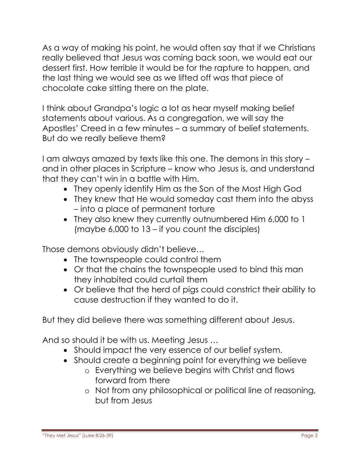As a way of making his point, he would often say that if we Christians really believed that Jesus was coming back soon, we would eat our dessert first. How terrible it would be for the rapture to happen, and the last thing we would see as we lifted off was that piece of chocolate cake sitting there on the plate.

I think about Grandpa's logic a lot as hear myself making belief statements about various. As a congregation, we will say the Apostles' Creed in a few minutes – a summary of belief statements. But do we really believe them?

I am always amazed by texts like this one. The demons in this story – and in other places in Scripture – know who Jesus is, and understand that they can't win in a battle with Him.

- They openly identify Him as the Son of the Most High God
- They knew that He would someday cast them into the abyss – into a place of permanent torture
- They also knew they currently outnumbered Him 6,000 to 1 (maybe 6,000 to 13 – if you count the disciples)

Those demons obviously didn't believe…

- The townspeople could control them
- Or that the chains the townspeople used to bind this man they inhabited could curtail them
- Or believe that the herd of pigs could constrict their ability to cause destruction if they wanted to do it.

But they did believe there was something different about Jesus.

And so should it be with us. Meeting Jesus …

- Should impact the very essence of our belief system.
- Should create a beginning point for everything we believe
	- o Everything we believe begins with Christ and flows forward from there
	- o Not from any philosophical or political line of reasoning, but from Jesus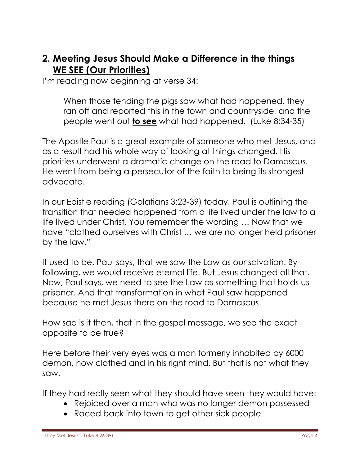#### **2. Meeting Jesus Should Make a Difference in the things WE SEE (Our Priorities)**

I'm reading now beginning at verse 34:

When those tending the pigs saw what had happened, they ran off and reported this in the town and countryside, and the people went out **to see** what had happened. (Luke 8:34-35)

The Apostle Paul is a great example of someone who met Jesus, and as a result had his whole way of looking at things changed. His priorities underwent a dramatic change on the road to Damascus. He went from being a persecutor of the faith to being its strongest advocate.

In our Epistle reading (Galatians 3:23-39) today, Paul is outlining the transition that needed happened from a life lived under the law to a life lived under Christ. You remember the wording … Now that we have "clothed ourselves with Christ … we are no longer held prisoner by the law."

It used to be, Paul says, that we saw the Law as our salvation. By following, we would receive eternal life. But Jesus changed all that. Now, Paul says, we need to see the Law as something that holds us prisoner. And that transformation in what Paul saw happened because he met Jesus there on the road to Damascus.

How sad is it then, that in the gospel message, we see the exact opposite to be true?

Here before their very eyes was a man formerly inhabited by 6000 demon, now clothed and in his right mind. But that is not what they saw.

If they had really seen what they should have seen they would have:

- Rejoiced over a man who was no longer demon possessed
- Raced back into town to get other sick people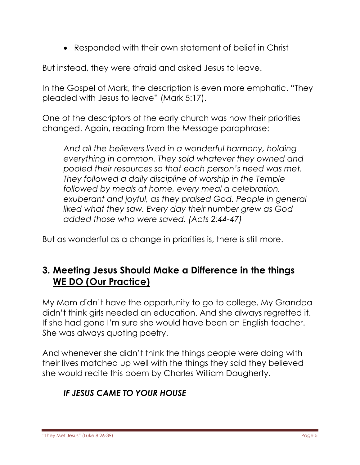Responded with their own statement of belief in Christ

But instead, they were afraid and asked Jesus to leave.

In the Gospel of Mark, the description is even more emphatic. "They pleaded with Jesus to leave" (Mark 5:17).

One of the descriptors of the early church was how their priorities changed. Again, reading from the Message paraphrase:

*And all the believers lived in a wonderful harmony, holding everything in common. They sold whatever they owned and pooled their resources so that each person's need was met. They followed a daily discipline of worship in the Temple followed by meals at home, every meal a celebration, exuberant and joyful, as they praised God. People in general liked what they saw. Every day their number grew as God added those who were saved. (Acts 2:44-47)*

But as wonderful as a change in priorities is, there is still more.

# **3. Meeting Jesus Should Make a Difference in the things WE DO (Our Practice)**

My Mom didn't have the opportunity to go to college. My Grandpa didn't think girls needed an education. And she always regretted it. If she had gone I'm sure she would have been an English teacher. She was always quoting poetry.

And whenever she didn't think the things people were doing with their lives matched up well with the things they said they believed she would recite this poem by Charles William Daugherty.

## *IF JESUS CAME TO YOUR HOUSE*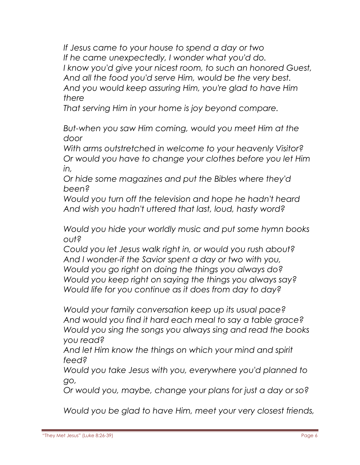*If Jesus came to your house to spend a day or two If he came unexpectedly, I wonder what you'd do. I know you'd give your nicest room, to such an honored Guest, And all the food you'd serve Him, would be the very best. And you would keep assuring Him, you're glad to have Him there*

*That serving Him in your home is joy beyond compare.*

*But-when you saw Him coming, would you meet Him at the door*

*With arms outstretched in welcome to your heavenly Visitor? Or would you have to change your clothes before you let Him in,*

*Or hide some magazines and put the Bibles where they'd been?*

*Would you turn off the television and hope he hadn't heard And wish you hadn't uttered that last, loud, hasty word?*

*Would you hide your worldly music and put some hymn books out?*

*Could you let Jesus walk right in, or would you rush about? And I wonder-if the Savior spent a day or two with you, Would you go right on doing the things you always do? Would you keep right on saying the things you always say? Would life for you continue as it does from day to day?*

*Would your family conversation keep up its usual pace? And would you find it hard each meal to say a table grace? Would you sing the songs you always sing and read the books you read?*

*And let Him know the things on which your mind and spirit feed?*

*Would you take Jesus with you, everywhere you'd planned to go,*

*Or would you, maybe, change your plans for just a day or so?*

*Would you be glad to have Him, meet your very closest friends,*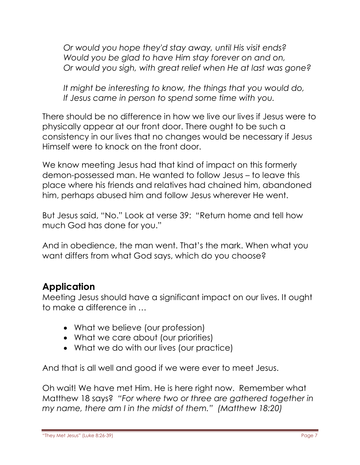*Or would you hope they'd stay away, until His visit ends? Would you be glad to have Him stay forever on and on, Or would you sigh, with great relief when He at last was gone?*

*It might be interesting to know, the things that you would do, If Jesus came in person to spend some time with you.*

There should be no difference in how we live our lives if Jesus were to physically appear at our front door. There ought to be such a consistency in our lives that no changes would be necessary if Jesus Himself were to knock on the front door.

We know meeting Jesus had that kind of impact on this formerly demon-possessed man. He wanted to follow Jesus – to leave this place where his friends and relatives had chained him, abandoned him, perhaps abused him and follow Jesus wherever He went.

But Jesus said, "No." Look at verse 39: "Return home and tell how much God has done for you."

And in obedience, the man went. That's the mark. When what you want differs from what God says, which do you choose?

## **Application**

Meeting Jesus should have a significant impact on our lives. It ought to make a difference in …

- What we believe (our profession)
- What we care about (our priorities)
- What we do with our lives (our practice)

And that is all well and good if we were ever to meet Jesus.

Oh wait! We have met Him. He is here right now. Remember what Matthew 18 says? *"For where two or three are gathered together in my name, there am I in the midst of them." (Matthew 18:20)*